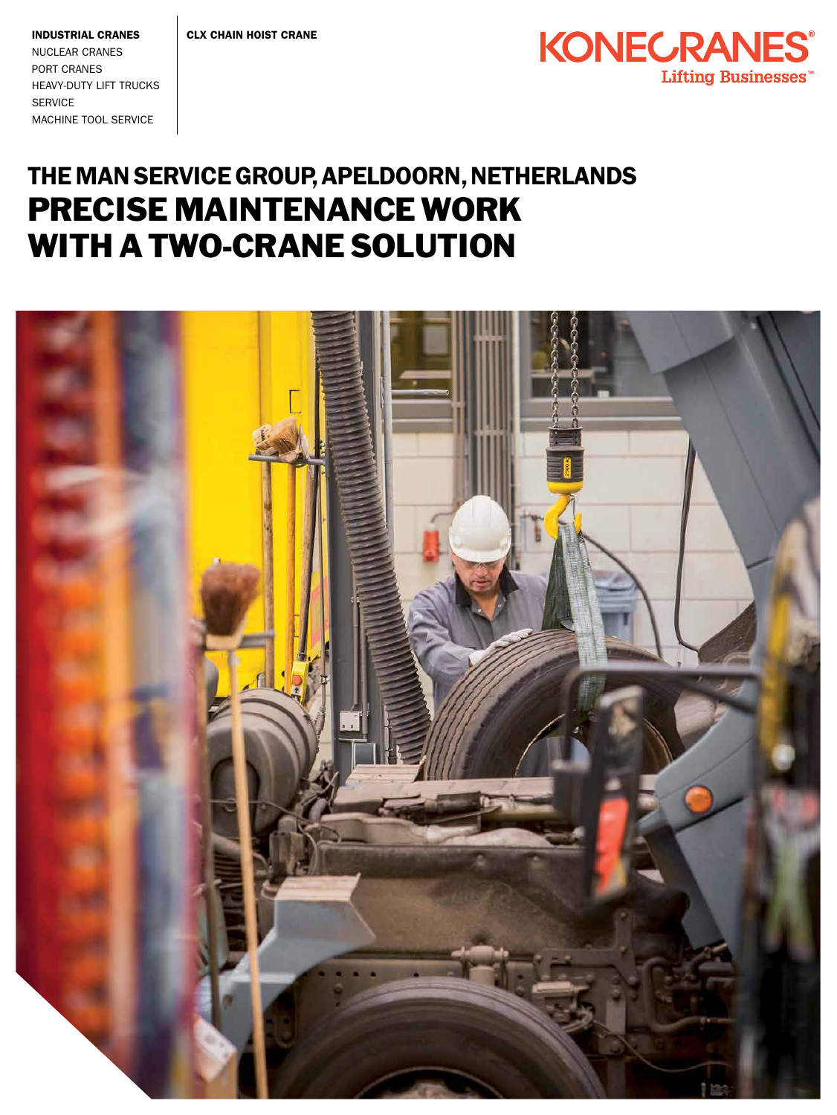

Industrial Cranes Nuclear Cranes Port Cranes Heavy-duty Lift Trucks **SERVICE** Machine Tool Service

## The MAN Service Group, APELDOORN, netherlands PRECISE MAINTENANCE WORK WITH A TWO-CRANE SOLUTION